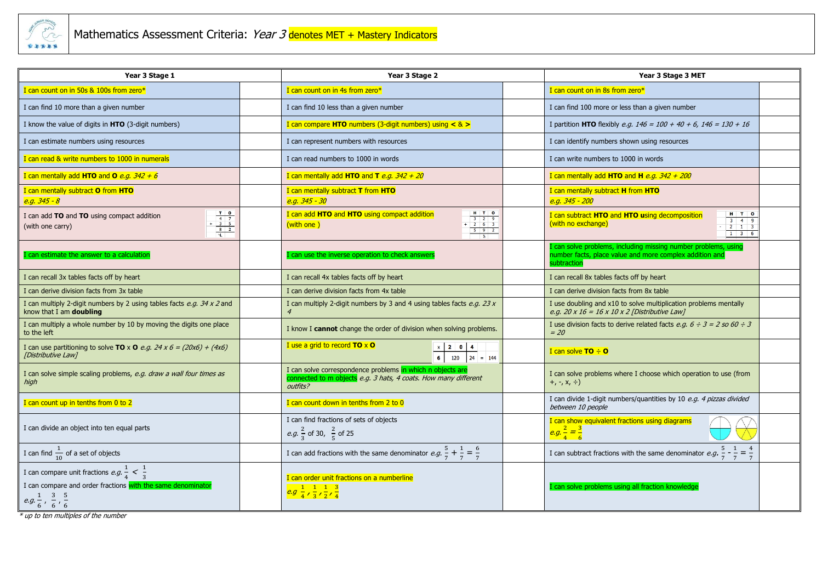

| Year 3 Stage 1                                                                                                                                                                                                                                                                                                                                                                                                                                                                   |  | Year 3 Stage 2                                                                                                                                                     |  | Year 3 Stage 3 MET                                                                                                                                   |  |
|----------------------------------------------------------------------------------------------------------------------------------------------------------------------------------------------------------------------------------------------------------------------------------------------------------------------------------------------------------------------------------------------------------------------------------------------------------------------------------|--|--------------------------------------------------------------------------------------------------------------------------------------------------------------------|--|------------------------------------------------------------------------------------------------------------------------------------------------------|--|
| I can count on in 50s & 100s from zero*                                                                                                                                                                                                                                                                                                                                                                                                                                          |  | I can count on in 4s from zero*                                                                                                                                    |  | I can count on in 8s from zero*                                                                                                                      |  |
| I can find 10 more than a given number                                                                                                                                                                                                                                                                                                                                                                                                                                           |  | I can find 10 less than a given number                                                                                                                             |  | I can find 100 more or less than a given number                                                                                                      |  |
| I know the value of digits in HTO (3-digit numbers)                                                                                                                                                                                                                                                                                                                                                                                                                              |  | I can compare HTO numbers (3-digit numbers) using $\lt$ & $\gt$                                                                                                    |  | I partition HTO flexibly <i>e.g.</i> $146 = 100 + 40 + 6$ , $146 = 130 + 16$                                                                         |  |
| I can estimate numbers using resources                                                                                                                                                                                                                                                                                                                                                                                                                                           |  | I can represent numbers with resources                                                                                                                             |  | I can identify numbers shown using resources                                                                                                         |  |
| I can read & write numbers to 1000 in numerals                                                                                                                                                                                                                                                                                                                                                                                                                                   |  | I can read numbers to 1000 in words                                                                                                                                |  | I can write numbers to 1000 in words                                                                                                                 |  |
| I can mentally add HTO and O <i>e.g.</i> $342 + 6$                                                                                                                                                                                                                                                                                                                                                                                                                               |  | I can mentally add HTO and T <i>e.g.</i> $342 + 20$                                                                                                                |  | I can mentally add HTO and H $e.g. 342 + 200$                                                                                                        |  |
| I can mentally subtract O from HTO<br><mark>e.g. 345 - 8</mark>                                                                                                                                                                                                                                                                                                                                                                                                                  |  | I can mentally subtract T from HTO<br>$e.g. 345 - 30$                                                                                                              |  | I can mentally subtract H from HTO<br>$e.g. 345 - 200$                                                                                               |  |
| $\begin{array}{@{}c@{\hspace{1em}}c@{\hspace{1em}}c@{\hspace{1em}}c@{\hspace{1em}}c@{\hspace{1em}}c@{\hspace{1em}}c@{\hspace{1em}}c@{\hspace{1em}}c@{\hspace{1em}}c@{\hspace{1em}}c@{\hspace{1em}}c@{\hspace{1em}}c@{\hspace{1em}}c@{\hspace{1em}}c@{\hspace{1em}}c@{\hspace{1em}}c@{\hspace{1em}}c@{\hspace{1em}}c@{\hspace{1em}}c@{\hspace{1em}}c@{\hspace{1em}}c@{\hspace{1em}}c@{\hspace{1em}}c@{\hspace{$<br>I can add TO and TO using compact addition<br>(with one carry) |  | $H$ $T$ 0<br>I can add HTO and HTO using compact addition<br>$\begin{array}{c cccc}\n3 & 2 & 9 \\ + & 2 & 6 & 3\n\end{array}$<br>(with one)<br>592<br>$\mathbf{A}$ |  | $H$ $T$ $O$<br>I can subtract HTO and HTO using decomposition<br>$3 \quad 4 \quad 9$<br>(with no exchange)<br>$2 \mid 1 \mid 3$<br>$1 \mid 3 \mid 6$ |  |
| I can estimate the answer to a calculation                                                                                                                                                                                                                                                                                                                                                                                                                                       |  | I can use the inverse operation to check answers                                                                                                                   |  | can solve problems, including missing number problems, using<br>number facts, place value and more complex addition and<br>subtraction               |  |
| I can recall 3x tables facts off by heart                                                                                                                                                                                                                                                                                                                                                                                                                                        |  | I can recall 4x tables facts off by heart                                                                                                                          |  | I can recall 8x tables facts off by heart                                                                                                            |  |
| I can derive division facts from 3x table                                                                                                                                                                                                                                                                                                                                                                                                                                        |  | I can derive division facts from 4x table                                                                                                                          |  | I can derive division facts from 8x table                                                                                                            |  |
| I can multiply 2-digit numbers by 2 using tables facts e.g. 34 x 2 and<br>know that I am <b>doubling</b>                                                                                                                                                                                                                                                                                                                                                                         |  | I can multiply 2-digit numbers by 3 and 4 using tables facts $e.g.$ 23 x                                                                                           |  | I use doubling and x10 to solve multiplication problems mentally<br>e.g. $20 \times 16 = 16 \times 10 \times 2$ [Distributive Law]                   |  |
| I can multiply a whole number by 10 by moving the digits one place<br>to the left                                                                                                                                                                                                                                                                                                                                                                                                |  | I know I cannot change the order of division when solving problems.                                                                                                |  | I use division facts to derive related facts <i>e.g.</i> $6 \div 3 = 2$ so $60 \div 3$<br>$= 20$                                                     |  |
| I can use partitioning to solve <b>TO</b> x <b>O</b> <i>e.g.</i> 24 x 6 = (20x6) + (4x6)<br>[Distributive Law]                                                                                                                                                                                                                                                                                                                                                                   |  | I use a grid to record $TO \times O$<br>$\begin{array}{ c c c c c }\hline x&2&0&4 \ \hline 6&120&24 \ \hline \end{array}$<br>$\frac{1}{24}$ = 144                  |  | I can solve $TO \div O$                                                                                                                              |  |
| I can solve simple scaling problems, e.g. draw a wall four times as<br>high                                                                                                                                                                                                                                                                                                                                                                                                      |  | I can solve correspondence problems in which n objects are<br>connected to m objects e.g. 3 hats, 4 coats. How many different<br>outfits?                          |  | I can solve problems where I choose which operation to use (from<br>$+, \, \text{-}, \, \text{x}, \, \div)$                                          |  |
| I can count up in tenths from 0 to 2                                                                                                                                                                                                                                                                                                                                                                                                                                             |  | I can count down in tenths from 2 to 0                                                                                                                             |  | I can divide 1-digit numbers/quantities by 10 e.g. 4 pizzas divided<br>between 10 people                                                             |  |
| I can divide an object into ten equal parts                                                                                                                                                                                                                                                                                                                                                                                                                                      |  | I can find fractions of sets of objects<br><i>e.g.</i> $\frac{2}{3}$ of 30, $\frac{2}{5}$ of 25                                                                    |  | I can show equivalent fractions using diagrams<br>$e.g. \frac{2}{4} = \frac{3}{6}$                                                                   |  |
| I can find $\frac{1}{10}$ of a set of objects                                                                                                                                                                                                                                                                                                                                                                                                                                    |  | I can add fractions with the same denominator e.g. $\frac{5}{7} + \frac{1}{7} = \frac{6}{7}$                                                                       |  | I can subtract fractions with the same denominator $e.g. \frac{5}{7} - \frac{1}{7} = \frac{4}{7}$                                                    |  |
| I can compare unit fractions $e.g. \frac{1}{4} < \frac{1}{3}$<br>I can compare and order fractions with the same denominator<br>$e.g. \frac{1}{6}$ , $\frac{3}{6}$ , $\frac{5}{6}$                                                                                                                                                                                                                                                                                               |  | I can order unit fractions on a numberline<br>$e.g. \frac{1}{4}, \frac{1}{3}, \frac{1}{2}, \frac{3}{4}$                                                            |  | I can solve problems using all fraction knowledge                                                                                                    |  |

 $*$  up to ten multiples of the number